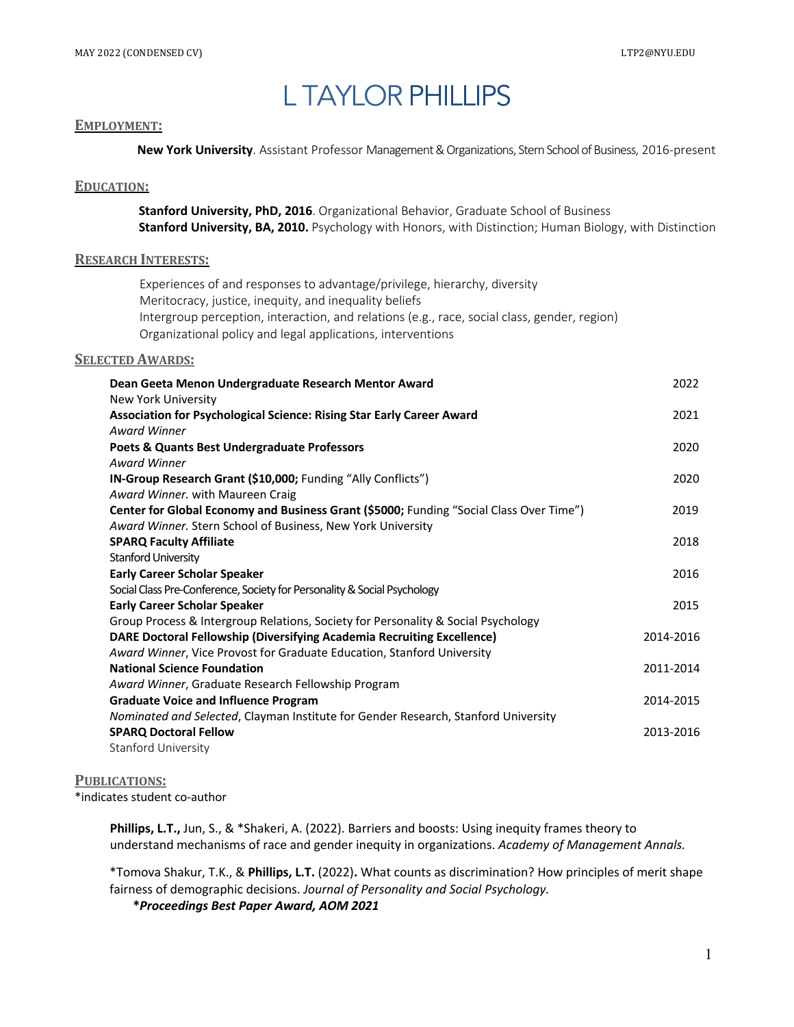# L TAYLOR PHILLIPS

#### **EMPLOYMENT:**

**New York University**. Assistant Professor Management & Organizations, Stern School of Business, 2016-present

# **EDUCATION:**

**Stanford University, PhD, 2016**. Organizational Behavior, Graduate School of Business **Stanford University, BA, 2010.** Psychology with Honors, with Distinction; Human Biology, with Distinction

# **RESEARCH INTERESTS:**

 Experiences of and responses to advantage/privilege, hierarchy, diversity Meritocracy, justice, inequity, and inequality beliefs Intergroup perception, interaction, and relations (e.g., race, social class, gender, region) Organizational policy and legal applications, interventions

# **SELECTED AWARDS:**

| Dean Geeta Menon Undergraduate Research Mentor Award                                    | 2022      |
|-----------------------------------------------------------------------------------------|-----------|
| New York University                                                                     |           |
| Association for Psychological Science: Rising Star Early Career Award                   | 2021      |
| <b>Award Winner</b>                                                                     |           |
| Poets & Quants Best Undergraduate Professors                                            | 2020      |
| <b>Award Winner</b>                                                                     |           |
| <b>IN-Group Research Grant (\$10,000; Funding "Ally Conflicts")</b>                     | 2020      |
| Award Winner. with Maureen Craig                                                        |           |
| Center for Global Economy and Business Grant (\$5000; Funding "Social Class Over Time") | 2019      |
| Award Winner. Stern School of Business, New York University                             |           |
| <b>SPARQ Faculty Affiliate</b>                                                          | 2018      |
| <b>Stanford University</b>                                                              |           |
| <b>Early Career Scholar Speaker</b>                                                     | 2016      |
| Social Class Pre-Conference, Society for Personality & Social Psychology                |           |
| <b>Early Career Scholar Speaker</b>                                                     | 2015      |
| Group Process & Intergroup Relations, Society for Personality & Social Psychology       |           |
| <b>DARE Doctoral Fellowship (Diversifying Academia Recruiting Excellence)</b>           | 2014-2016 |
| Award Winner, Vice Provost for Graduate Education, Stanford University                  |           |
| <b>National Science Foundation</b>                                                      | 2011-2014 |
| Award Winner, Graduate Research Fellowship Program                                      |           |
| <b>Graduate Voice and Influence Program</b>                                             | 2014-2015 |
| Nominated and Selected, Clayman Institute for Gender Research, Stanford University      |           |
| <b>SPARQ Doctoral Fellow</b>                                                            | 2013-2016 |
| <b>Stanford University</b>                                                              |           |

#### **PUBLICATIONS:**

\*indicates student co-author

 **Phillips, L.T.,** Jun, S., & \*Shakeri, A. (2022). Barriers and boosts: Using inequity frames theory to understand mechanisms of race and gender inequity in organizations. *Academy of Management Annals.*

\*Tomova Shakur, T.K., & **Phillips, L.T.** (2022)**.** What counts as discrimination? How principles of merit shape fairness of demographic decisions. *Journal of Personality and Social Psychology.*

**\****Proceedings Best Paper Award, AOM 2021*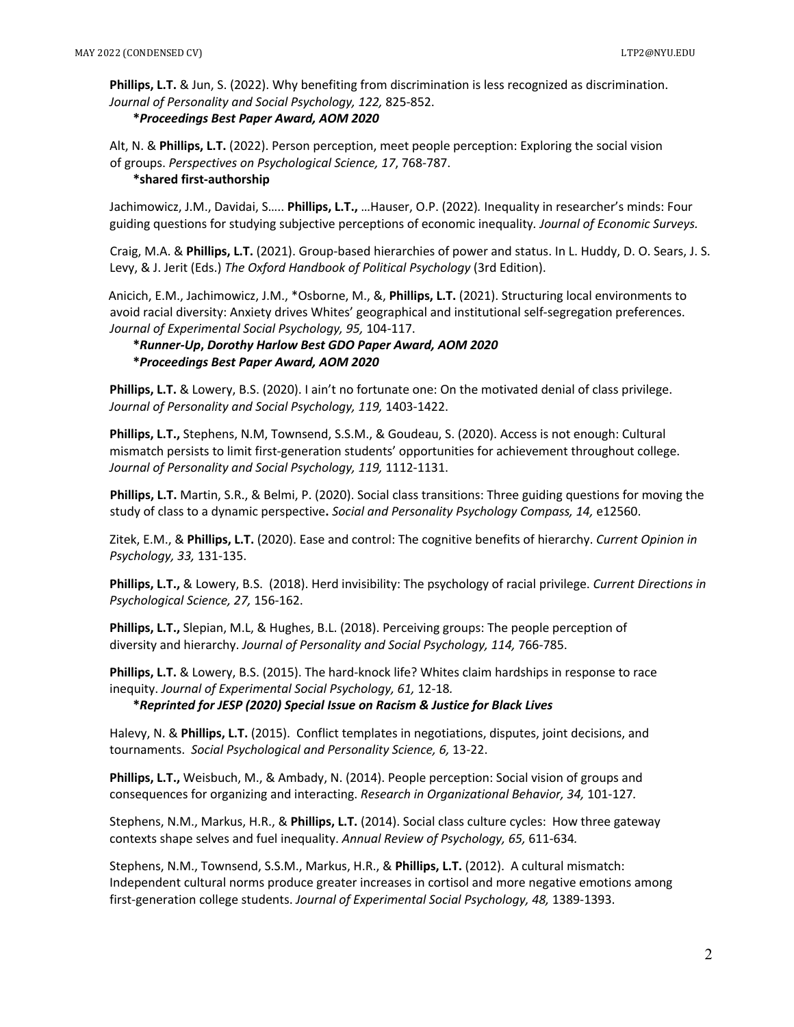**Phillips, L.T.** & Jun, S. (2022). Why benefiting from discrimination is less recognized as discrimination. *Journal of Personality and Social Psychology, 122,* 825-852. **\****Proceedings Best Paper Award, AOM 2020*

Alt, N. & **Phillips, L.T.** (2022). Person perception, meet people perception: Exploring the social vision of groups. *Perspectives on Psychological Science, 17*, 768-787. **\*shared first-authorship**

Jachimowicz, J.M., Davidai, S….. **Phillips, L.T.,** …Hauser, O.P. (2022)*.* Inequality in researcher's minds: Four guiding questions for studying subjective perceptions of economic inequality*. Journal of Economic Surveys.*

 Craig, M.A. & **Phillips, L.T.** (2021). Group-based hierarchies of power and status. In L. Huddy, D. O. Sears, J. S. Levy, & J. Jerit (Eds.) *The Oxford Handbook of Political Psychology* (3rd Edition).

 Anicich, E.M., Jachimowicz, J.M., \*Osborne, M., &, **Phillips, L.T.** (2021). Structuring local environments to avoid racial diversity: Anxiety drives Whites' geographical and institutional self-segregation preferences. *Journal of Experimental Social Psychology, 95,* 104-117.

# **\****Runner-Up***,** *Dorothy Harlow Best GDO Paper Award, AOM 2020* **\****Proceedings Best Paper Award, AOM 2020*

**Phillips, L.T.** & Lowery, B.S. (2020). I ain't no fortunate one: On the motivated denial of class privilege. *Journal of Personality and Social Psychology, 119,* 1403-1422.

**Phillips, L.T.,** Stephens, N.M, Townsend, S.S.M., & Goudeau, S. (2020). Access is not enough: Cultural mismatch persists to limit first-generation students' opportunities for achievement throughout college. *Journal of Personality and Social Psychology, 119,* 1112-1131.

 **Phillips, L.T.** Martin, S.R., & Belmi, P. (2020). Social class transitions: Three guiding questions for moving the study of class to a dynamic perspective**.** *Social and Personality Psychology Compass, 14,* e12560.

Zitek, E.M., & **Phillips, L.T.** (2020). Ease and control: The cognitive benefits of hierarchy. *Current Opinion in Psychology, 33,* 131-135.

**Phillips, L.T.,** & Lowery, B.S. (2018). Herd invisibility: The psychology of racial privilege. *Current Directions in Psychological Science, 27,* 156-162.

**Phillips, L.T.,** Slepian, M.L, & Hughes, B.L. (2018). Perceiving groups: The people perception of diversity and hierarchy. *Journal of Personality and Social Psychology, 114,* 766-785.

**Phillips, L.T.** & Lowery, B.S. (2015). The hard-knock life? Whites claim hardships in response to race inequity. *Journal of Experimental Social Psychology, 61,* 12-18*.*

**\****Reprinted for JESP (2020) Special Issue on Racism & Justice for Black Lives*

Halevy, N. & **Phillips, L.T.** (2015). Conflict templates in negotiations, disputes, joint decisions, and tournaments. *Social Psychological and Personality Science, 6,* 13-22.

**Phillips, L.T.,** Weisbuch, M., & Ambady, N. (2014). People perception: Social vision of groups and consequences for organizing and interacting. *Research in Organizational Behavior, 34,* 101-127*.*

Stephens, N.M., Markus, H.R., & **Phillips, L.T.** (2014). Social class culture cycles: How three gateway contexts shape selves and fuel inequality. *Annual Review of Psychology, 65,* 611-634*.*

Stephens, N.M., Townsend, S.S.M., Markus, H.R., & **Phillips, L.T.** (2012). A cultural mismatch: Independent cultural norms produce greater increases in cortisol and more negative emotions among first-generation college students. *Journal of Experimental Social Psychology, 48,* 1389-1393.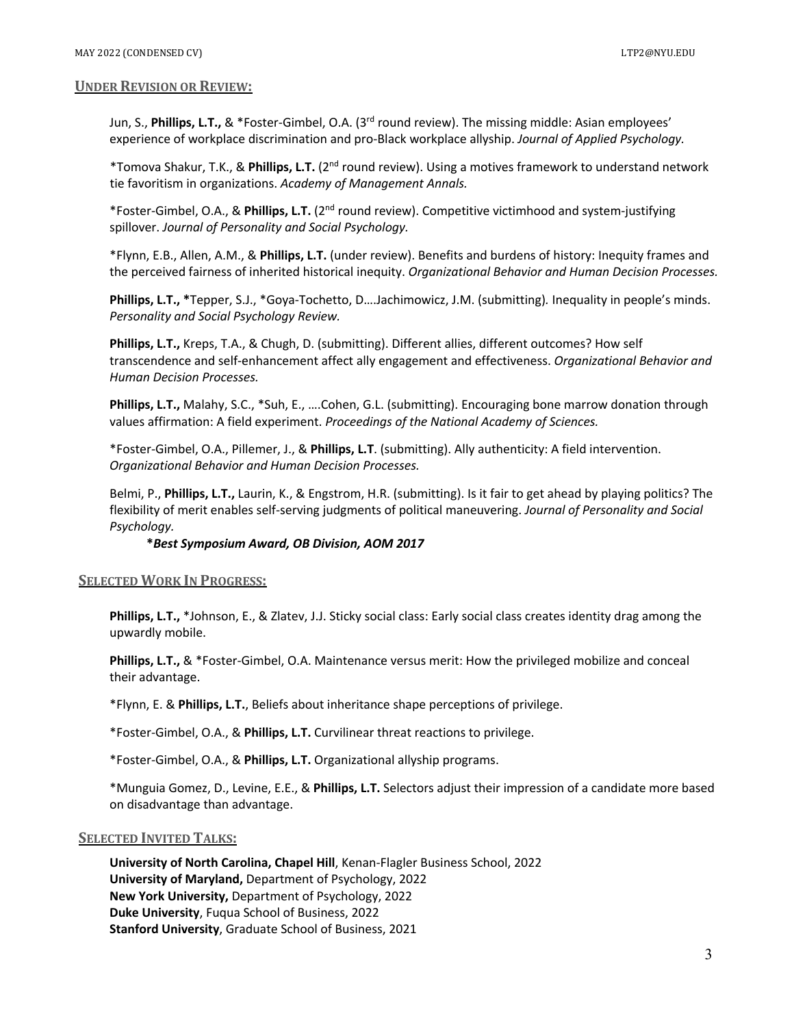#### **UNDER REVISION OR REVIEW:**

Jun, S., **Phillips, L.T.,** & \*Foster-Gimbel, O.A. (3rd round review). The missing middle: Asian employees' experience of workplace discrimination and pro-Black workplace allyship. *Journal of Applied Psychology.*

 \*Tomova Shakur, T.K., & **Phillips, L.T.** (2nd round review). Using a motives framework to understand network tie favoritism in organizations. *Academy of Management Annals.*

\*Foster-Gimbel, O.A., & **Phillips, L.T.** (2nd round review). Competitive victimhood and system-justifying spillover. *Journal of Personality and Social Psychology.*

\*Flynn, E.B., Allen, A.M., & **Phillips, L.T.** (under review). Benefits and burdens of history: Inequity frames and the perceived fairness of inherited historical inequity. *Organizational Behavior and Human Decision Processes.*

**Phillips, L.T., \***Tepper, S.J., \*Goya-Tochetto, D….Jachimowicz, J.M. (submitting)*.* Inequality in people's minds. *Personality and Social Psychology Review.*

**Phillips, L.T.,** Kreps, T.A., & Chugh, D. (submitting). Different allies, different outcomes? How self transcendence and self-enhancement affect ally engagement and effectiveness. *Organizational Behavior and Human Decision Processes.*

**Phillips, L.T.,** Malahy, S.C., \*Suh, E., ….Cohen, G.L. (submitting). Encouraging bone marrow donation through values affirmation: A field experiment. *Proceedings of the National Academy of Sciences.*

\*Foster-Gimbel, O.A., Pillemer, J., & **Phillips, L.T**. (submitting). Ally authenticity: A field intervention. *Organizational Behavior and Human Decision Processes.*

Belmi, P., **Phillips, L.T.,** Laurin, K., & Engstrom, H.R. (submitting). Is it fair to get ahead by playing politics? The flexibility of merit enables self-serving judgments of political maneuvering. *Journal of Personality and Social Psychology.*

 **\****Best Symposium Award, OB Division, AOM 2017*

# **SELECTED WORK IN PROGRESS:**

**Phillips, L.T.,** \*Johnson, E., & Zlatev, J.J. Sticky social class: Early social class creates identity drag among the upwardly mobile.

**Phillips, L.T.,** & \*Foster-Gimbel, O.A. Maintenance versus merit: How the privileged mobilize and conceal their advantage.

\*Flynn, E. & **Phillips, L.T.**, Beliefs about inheritance shape perceptions of privilege.

\*Foster-Gimbel, O.A., & **Phillips, L.T.** Curvilinear threat reactions to privilege.

\*Foster-Gimbel, O.A., & **Phillips, L.T.** Organizational allyship programs.

\*Munguia Gomez, D., Levine, E.E., & **Phillips, L.T.** Selectors adjust their impression of a candidate more based on disadvantage than advantage.

## **SELECTED INVITED TALKS:**

**University of North Carolina, Chapel Hill**, Kenan-Flagler Business School, 2022 **University of Maryland,** Department of Psychology, 2022 **New York University,** Department of Psychology, 2022 **Duke University**, Fuqua School of Business, 2022 **Stanford University**, Graduate School of Business, 2021